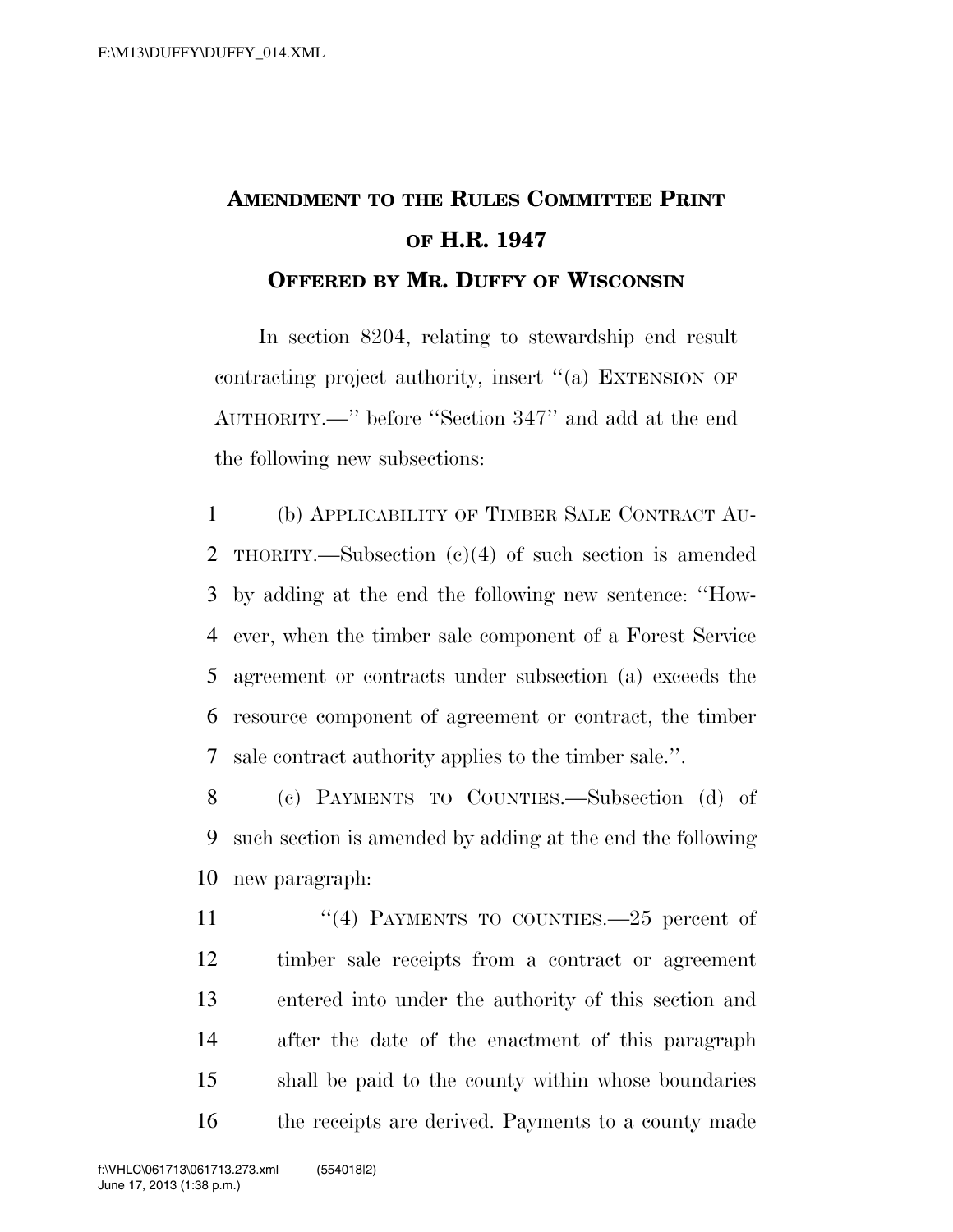## **AMENDMENT TO THE RULES COMMITTEE PRINT OF H.R. 1947 OFFERED BY MR. DUFFY OF WISCONSIN**

In section 8204, relating to stewardship end result contracting project authority, insert ''(a) EXTENSION OF AUTHORITY.—'' before ''Section 347'' and add at the end the following new subsections:

 (b) APPLICABILITY OF TIMBER SALE CONTRACT AU- THORITY.—Subsection (c)(4) of such section is amended by adding at the end the following new sentence: ''How- ever, when the timber sale component of a Forest Service agreement or contracts under subsection (a) exceeds the resource component of agreement or contract, the timber sale contract authority applies to the timber sale.''.

8 (c) PAYMENTS TO COUNTIES.—Subsection (d) of 9 such section is amended by adding at the end the following 10 new paragraph:

11 ''(4) PAYMENTS TO COUNTIES. -25 percent of timber sale receipts from a contract or agreement entered into under the authority of this section and after the date of the enactment of this paragraph shall be paid to the county within whose boundaries the receipts are derived. Payments to a county made